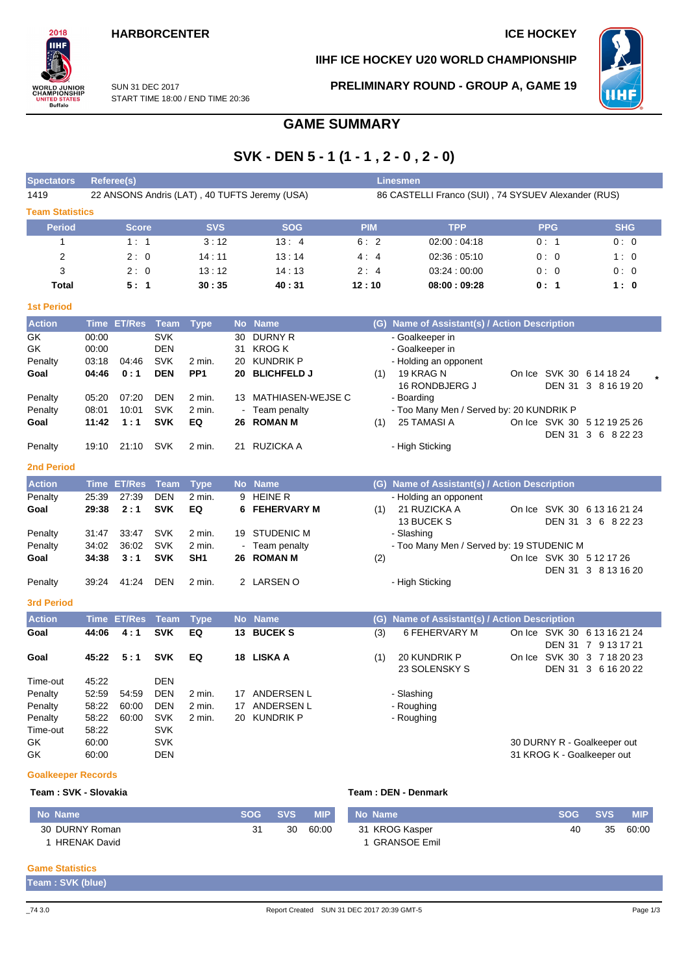#### **HARBORCENTER ICE HOCKEY**

#### **IIHF ICE HOCKEY U20 WORLD CHAMPIONSHIP**



SUN 31 DEC 2017 START TIME 18:00 / END TIME 20:36 **PRELIMINARY ROUND - GROUP A, GAME 19**



# **GAME SUMMARY**

# **SVK - DEN 5 - 1 (1 - 1 , 2 - 0 , 2 - 0)**

| <b>Spectators</b>         | Referee(s)<br><b>Linesmen</b> |                    |             |                 |    |                                               |            |                                                     |                             |                     |  |  |  |  |  |
|---------------------------|-------------------------------|--------------------|-------------|-----------------|----|-----------------------------------------------|------------|-----------------------------------------------------|-----------------------------|---------------------|--|--|--|--|--|
| 1419                      |                               |                    |             |                 |    | 22 ANSONS Andris (LAT), 40 TUFTS Jeremy (USA) |            | 86 CASTELLI Franco (SUI), 74 SYSUEV Alexander (RUS) |                             |                     |  |  |  |  |  |
| <b>Team Statistics</b>    |                               |                    |             |                 |    |                                               |            |                                                     |                             |                     |  |  |  |  |  |
| <b>Period</b>             |                               | <b>Score</b>       |             | <b>SVS</b>      |    | <b>SOG</b>                                    | <b>PIM</b> | <b>TPP</b>                                          | <b>PPG</b>                  | <b>SHG</b>          |  |  |  |  |  |
| 1                         |                               | 1:1                |             | 3:12            |    | 13:4                                          | 6:2        | 02:00:04:18                                         | 0:1                         | 0:0                 |  |  |  |  |  |
| $\overline{2}$            |                               | 2:0                |             | 14:11           |    | 13:14                                         | 4:4        | 02:36:05:10                                         | 0:0                         | 1:0                 |  |  |  |  |  |
| 3                         |                               | 2:0                |             | 13:12           |    | 14:13                                         | 2:4        | 03:24:00:00                                         | 0:0                         | 0:0                 |  |  |  |  |  |
| <b>Total</b>              |                               | 5:1                |             | 30:35           |    | 40:31                                         | 12:10      | 08:00:09:28                                         | 0: 1                        | 1:0                 |  |  |  |  |  |
|                           |                               |                    |             |                 |    |                                               |            |                                                     |                             |                     |  |  |  |  |  |
| <b>1st Period</b>         |                               |                    |             |                 |    |                                               |            |                                                     |                             |                     |  |  |  |  |  |
| <b>Action</b>             |                               | Time ET/Res        | Team        | <b>Type</b>     |    | No Name                                       |            | (G) Name of Assistant(s) / Action Description       |                             |                     |  |  |  |  |  |
| GK                        | 00:00                         |                    | <b>SVK</b>  |                 | 30 | <b>DURNY R</b>                                |            | - Goalkeeper in                                     |                             |                     |  |  |  |  |  |
| GK                        | 00:00                         |                    | DEN         |                 |    | 31 KROG K                                     |            | - Goalkeeper in                                     |                             |                     |  |  |  |  |  |
| Penalty                   | 03:18                         | 04:46              | <b>SVK</b>  | 2 min.          |    | 20 KUNDRIK P                                  |            | - Holding an opponent                               |                             |                     |  |  |  |  |  |
| Goal                      | 04:46                         | 0:1                | <b>DEN</b>  | PP <sub>1</sub> | 20 | <b>BLICHFELD J</b>                            | (1)        | 19 KRAG N                                           | On Ice SVK 30 6 14 18 24    |                     |  |  |  |  |  |
|                           |                               |                    |             |                 |    |                                               |            | 16 RONDBJERG J                                      |                             | DEN 31 3 8 16 19 20 |  |  |  |  |  |
| Penalty                   | 05:20                         | 07:20              | DEN         | 2 min.          |    | 13 MATHIASEN-WEJSE C                          |            | - Boarding                                          |                             |                     |  |  |  |  |  |
| Penalty                   | 08:01                         | 10:01              | <b>SVK</b>  | 2 min.          |    | Team penalty                                  |            | - Too Many Men / Served by: 20 KUNDRIK P            |                             |                     |  |  |  |  |  |
| Goal                      | 11:42                         | 1:1                | <b>SVK</b>  | EQ              | 26 | <b>ROMAN M</b>                                | (1)        | 25 TAMASI A                                         | On Ice SVK 30 5 12 19 25 26 |                     |  |  |  |  |  |
|                           |                               |                    |             |                 |    |                                               |            |                                                     |                             | DEN 31 3 6 8 22 23  |  |  |  |  |  |
| Penalty                   | 19:10                         | 21:10              | SVK         | 2 min.          |    | 21 RUZICKA A                                  |            | - High Sticking                                     |                             |                     |  |  |  |  |  |
| <b>2nd Period</b>         |                               |                    |             |                 |    |                                               |            |                                                     |                             |                     |  |  |  |  |  |
| <b>Action</b>             | <b>Time</b>                   | <b>ET/Res</b>      | Team        | <b>Type</b>     |    | No Name                                       |            | (G) Name of Assistant(s) / Action Description       |                             |                     |  |  |  |  |  |
| Penalty                   | 25:39                         | 27:39              | <b>DEN</b>  | 2 min.          | 9  | <b>HEINE R</b>                                |            | - Holding an opponent                               |                             |                     |  |  |  |  |  |
| Goal                      | 29:38                         | 2:1                | <b>SVK</b>  | EQ              | 6  | <b>FEHERVARY M</b>                            | (1)        | 21 RUZICKA A                                        | On Ice SVK 30 6 13 16 21 24 |                     |  |  |  |  |  |
|                           |                               |                    |             |                 |    |                                               |            | 13 BUCEK S                                          |                             | DEN 31 3 6 8 22 23  |  |  |  |  |  |
| Penalty                   | 31:47                         | 33:47              | <b>SVK</b>  | 2 min.          | 19 | <b>STUDENIC M</b>                             |            | - Slashing                                          |                             |                     |  |  |  |  |  |
| Penalty                   | 34:02                         | 36:02              | <b>SVK</b>  | 2 min.          |    | Team penalty                                  |            | - Too Many Men / Served by: 19 STUDENIC M           |                             |                     |  |  |  |  |  |
| Goal                      | 34:38                         | 3:1                | <b>SVK</b>  | SH1             |    | 26 ROMAN M                                    | (2)        |                                                     | On Ice SVK 30 5 12 17 26    |                     |  |  |  |  |  |
|                           |                               |                    |             |                 |    |                                               |            |                                                     |                             | DEN 31 3 8 13 16 20 |  |  |  |  |  |
| Penalty                   | 39:24                         | 41:24              | DEN         | 2 min.          |    | 2 LARSEN O                                    |            | - High Sticking                                     |                             |                     |  |  |  |  |  |
|                           |                               |                    |             |                 |    |                                               |            |                                                     |                             |                     |  |  |  |  |  |
| <b>3rd Period</b>         |                               |                    |             |                 |    |                                               |            |                                                     |                             |                     |  |  |  |  |  |
| <b>Action</b>             |                               | <b>Time ET/Res</b> | <b>Team</b> | <b>Type</b>     |    | No Name                                       |            | (G) Name of Assistant(s) / Action Description       |                             |                     |  |  |  |  |  |
| Goal                      | 44:06                         | 4:1                | <b>SVK</b>  | EQ              |    | 13 BUCEKS                                     | (3)        | 6 FEHERVARY M                                       | On Ice SVK 30 6 13 16 21 24 |                     |  |  |  |  |  |
|                           |                               |                    |             |                 |    |                                               |            |                                                     |                             | DEN 31 7 9 13 17 21 |  |  |  |  |  |
| Goal                      | 45:22                         | 5:1                | <b>SVK</b>  | EQ              |    | 18 LISKA A                                    | (1)        | 20 KUNDRIK P                                        | On Ice SVK 30 3 7 18 20 23  |                     |  |  |  |  |  |
|                           |                               |                    |             |                 |    |                                               |            | 23 SOLENSKY S                                       |                             | DEN 31 3 6 16 20 22 |  |  |  |  |  |
| Time-out                  | 45:22                         |                    | DEN         |                 |    |                                               |            |                                                     |                             |                     |  |  |  |  |  |
| Penalty                   | 52:59                         | 54:59              | <b>DEN</b>  | 2 min.          |    | 17 ANDERSEN L                                 |            | - Slashing                                          |                             |                     |  |  |  |  |  |
| Penalty                   | 58:22                         | 60:00              | DEN         | 2 min.          |    | 17 ANDERSEN L                                 |            | - Roughing                                          |                             |                     |  |  |  |  |  |
| Penalty                   | 58:22                         | 60:00              | <b>SVK</b>  | 2 min.          |    | 20 KUNDRIK P                                  |            | - Roughing                                          |                             |                     |  |  |  |  |  |
| Time-out                  | 58:22                         |                    | <b>SVK</b>  |                 |    |                                               |            |                                                     |                             |                     |  |  |  |  |  |
| GK                        | 60:00                         |                    | <b>SVK</b>  |                 |    |                                               |            |                                                     | 30 DURNY R - Goalkeeper out |                     |  |  |  |  |  |
| GK                        | 60:00                         |                    | <b>DEN</b>  |                 |    |                                               |            |                                                     | 31 KROG K - Goalkeeper out  |                     |  |  |  |  |  |
|                           |                               |                    |             |                 |    |                                               |            |                                                     |                             |                     |  |  |  |  |  |
| <b>Goalkeeper Records</b> |                               |                    |             |                 |    |                                               |            |                                                     |                             |                     |  |  |  |  |  |

#### **Team : SVK - Slovakia Team : DEN - Denmark**

| No Name             | <b>SOG</b> | SVS. | <b>MIP</b> | Mo Name        | <b>SOG</b> | <b>SVS</b> | <b>MIP</b> |
|---------------------|------------|------|------------|----------------|------------|------------|------------|
| 30 DURNY Roman      |            | 30   | 60:00      | 31 KROG Kasper | 40         | 35         | 60:00      |
| <b>HRENAK David</b> |            |      |            | GRANSOE Emil   |            |            |            |

#### **Game Statistics**

**Team : SVK (blue)**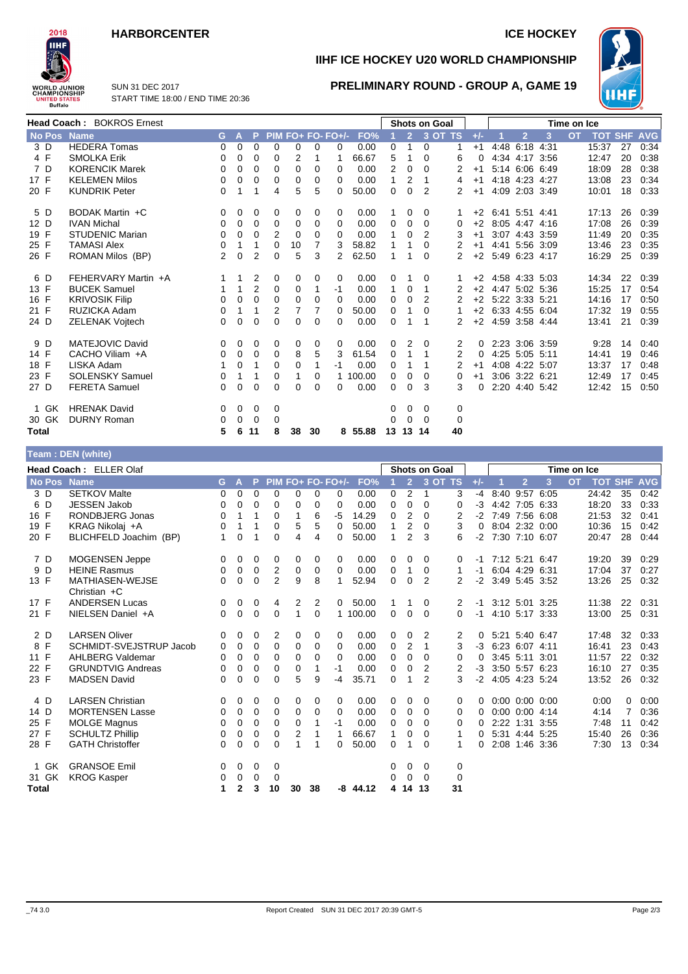## **HARBORCENTER ICE HOCKEY**



**IIHF ICE HOCKEY U20 WORLD CHAMPIONSHIP**

**PRELIMINARY ROUND - GROUP A, GAME 19**



SUN 31 DEC 2017 START TIME 18:00 / END TIME 20:36

|             | Head Coach: BOKROS Ernest |          |             |                |             |          |          |                   |         |          |                | <b>Shots on Goal</b> |         |              |                |   | Time on Ice |       |    |                    |
|-------------|---------------------------|----------|-------------|----------------|-------------|----------|----------|-------------------|---------|----------|----------------|----------------------|---------|--------------|----------------|---|-------------|-------|----|--------------------|
| No Pos Name |                           | G.       | A           | P.             |             |          |          | $PIM FO+FO-FO+/-$ | FO%     |          | 2 <sup>7</sup> |                      | 3 OT TS | $+/-$        | $\overline{2}$ | 3 | <b>OT</b>   |       |    | <b>TOT SHF AVG</b> |
| 3 D         | <b>HEDERA Tomas</b>       | 0        | 0           | 0              | $\Omega$    | 0        | 0        | 0                 | 0.00    | 0        | 1              | 0                    | 1       | $+1$         | 4:48 6:18 4:31 |   |             | 15:37 | 27 | 0:34               |
| 4 F         | <b>SMOLKA Erik</b>        | 0        | 0           | $\Omega$       | 0           | 2        |          |                   | 66.67   | 5        | 1              | $\Omega$             | 6       | $\Omega$     | 4:34 4:17 3:56 |   |             | 12:47 | 20 | 0:38               |
| 7 D         | <b>KORENCIK Marek</b>     | 0        | 0           | 0              | 0           | 0        | 0        | 0                 | 0.00    | 2        | 0              | $\Omega$             | 2       | $+1$         | 5:14 6:06 6:49 |   |             | 18:09 | 28 | 0:38               |
| 17 F        | <b>KELEMEN Milos</b>      | 0        | 0           | 0              | 0           | 0        | 0        | 0                 | 0.00    | 1        | 2              |                      | 4       | $+1$         | 4:18 4:23 4:27 |   |             | 13:08 | 23 | 0:34               |
| 20 F        | <b>KUNDRIK Peter</b>      | 0        |             | 1              | 4           | 5        | 5        | $\Omega$          | 50.00   | 0        | $\Omega$       | 2                    | 2       | $+1$         | 4:09 2:03 3:49 |   |             | 10:01 | 18 | 0.33               |
| 5 D         | BODAK Martin +C           | 0        | 0           | 0              | 0           | 0        | 0        | 0                 | 0.00    |          | 0              | 0                    |         | $+2$         | 6:41 5:51 4:41 |   |             | 17:13 | 26 | 0:39               |
| 12 D        | <b>IVAN Michal</b>        | 0        | 0           | 0              | $\mathbf 0$ | 0        | 0        | 0                 | 0.00    | 0        | 0              | 0                    | 0       | $+2$         | 8:05 4:47 4:16 |   |             | 17:08 | 26 | 0:39               |
| 19 F        | <b>STUDENIC Marian</b>    | 0        | 0           | $\Omega$       | 2           | 0        | 0        | $\Omega$          | 0.00    | 1        | $\Omega$       | 2                    | 3       | $+1$         | 3:07 4:43 3:59 |   |             | 11:49 | 20 | 0:35               |
| 25 F        | TAMASI Alex               | 0        | 1           | 1              | $\mathbf 0$ | 10       | 7        | 3                 | 58.82   | 1        | 1              | $\Omega$             | 2       | $+1$         | 4:41 5:56 3:09 |   |             | 13:46 | 23 | 0:35               |
| 26 F        | ROMAN Milos (BP)          | 2        | $\mathbf 0$ | 2              | 0           | 5        | 3        | 2                 | 62.50   | 1        | 1              | $\Omega$             | 2       | $+2$         | 5:49 6:23 4:17 |   |             | 16:29 | 25 | 0:39               |
| 6 D         | FEHERVARY Martin +A       |          | 1           | 2              | 0           | 0        | 0        | 0                 | 0.00    | 0        |                | 0                    |         | $+2$         | 4:58 4:33 5:03 |   |             | 14:34 | 22 | 0:39               |
| 13 F        | <b>BUCEK Samuel</b>       |          |             | $\overline{2}$ | 0           | 0        |          | -1                | 0.00    | 1        | 0              | 1                    | 2       | $+2$         | 4:47 5:02 5:36 |   |             | 15:25 | 17 | 0:54               |
| 16 F        | <b>KRIVOSIK Filip</b>     | 0        | 0           | $\Omega$       | 0           | 0        | $\Omega$ | $\Omega$          | 0.00    | 0        | 0              | 2                    |         | $+2$         | 5:22 3:33 5:21 |   |             | 14:16 | 17 | 0:50               |
| 21 F        | RUZICKA Adam              | 0        |             | 1              | 2           | 7        |          | $\Omega$          | 50.00   | 0        |                | $\Omega$             |         | $+2$         | 6:33 4:55 6:04 |   |             | 17:32 | 19 | 0:55               |
| 24 D        | <b>ZELENAK Vojtech</b>    | 0        | 0           | 0              | $\Omega$    | 0        | $\Omega$ | 0                 | 0.00    | 0        |                |                      | 2       | $+2$         | 4:59 3:58 4:44 |   |             | 13:41 | 21 | 0:39               |
| 9 D         | MATEJOVIC David           | 0        | 0           | 0              | 0           | 0        | 0        | 0                 | 0.00    | $\Omega$ | 2              | 0                    | 2       | 0            | 2:23 3:06 3:59 |   |             | 9:28  | 14 | 0:40               |
| 14 F        | CACHO Viliam +A           | 0        | 0           | 0              | 0           | 8        | 5        | 3                 | 61.54   | 0        | 1              |                      | 2       | 0            | 4:25 5:05 5:11 |   |             | 14:41 | 19 | 0:46               |
| 18 F        | LISKA Adam                |          | 0           | 1              | 0           | 0        |          | $-1$              | 0.00    | 0        |                |                      | 2       | $+1$         | 4:08 4:22 5:07 |   |             | 13:37 | 17 | 0:48               |
| 23 F        | <b>SOLENSKY Samuel</b>    | 0        | 1           | 1              | 0           |          | 0        |                   | 100.00  | 0        | 0              | 0                    | 0       | $+1$         | 3:06 3:22 6:21 |   |             | 12:49 | 17 | 0:45               |
| 27 D        | <b>FERETA Samuel</b>      | $\Omega$ | 0           | $\Omega$       | 0           | $\Omega$ | 0        | 0                 | 0.00    | 0        | 0              | 3                    | 3       | <sup>0</sup> | 2:20 4:40 5:42 |   |             | 12:42 | 15 | 0:50               |
| 1 GK        | <b>HRENAK David</b>       | 0        | 0           | 0              | 0           |          |          |                   |         | 0        | 0              | 0                    | 0       |              |                |   |             |       |    |                    |
| 30 GK       | <b>DURNY Roman</b>        | 0        | 0           | 0              | 0           |          |          |                   |         | 0        | $\Omega$       | 0                    | 0       |              |                |   |             |       |    |                    |
| Total       |                           | 5        | 6           | 11             | 8           | 38       | 30       |                   | 8 55.88 |          | 13 13 14       |                      | 40      |              |                |   |             |       |    |                    |

#### **Team : DEN (white)**

| Head Coach: ELLER Olaf<br><b>Shots on Goal</b><br>Time on Ice |               |                                          |    |              |          |                  |                |             |                   |            |              |                |                |          |       |                      |      |           |       |                |            |
|---------------------------------------------------------------|---------------|------------------------------------------|----|--------------|----------|------------------|----------------|-------------|-------------------|------------|--------------|----------------|----------------|----------|-------|----------------------|------|-----------|-------|----------------|------------|
|                                                               | <b>No Pos</b> | <b>Name</b>                              | G. | $\mathsf{A}$ | P.       |                  |                |             | PIM FO+ FO- FO+/- | FO%        |              | $\overline{2}$ | 3 OT TS        |          | $+/-$ | $\overline{2}$       | 3    | <b>OT</b> |       | <b>TOT SHF</b> | <b>AVG</b> |
| 3 D                                                           |               | <b>SETKOV Malte</b>                      | 0  | $\Omega$     | $\Omega$ | $\Omega$         | $\Omega$       | $\Omega$    | 0                 | 0.00       | 0            | 2              | 1              | 3        | $-4$  | 8:40 9:57 6:05       |      |           | 24:42 | 35             | 0:42       |
| 6 D                                                           |               | <b>JESSEN Jakob</b>                      | 0  | 0            | 0        | 0                | 0              | 0           | 0                 | 0.00       | 0            | 0              | $\Omega$       | 0        | $-3$  | 4:42 7:05 6:33       |      |           | 18:20 | 33             | 0:33       |
| 16 F                                                          |               | RONDBJERG Jonas                          | 0  | 1            | 1        | 0                | 1              | 6           | -5                | 14.29      | 0            | 2              | 0              | 2        | $-2$  | 7:49 7:56 6:08       |      |           | 21:53 | 32             | 0:41       |
| 19 F                                                          |               | KRAG Nikolaj +A                          | 0  | 1            | 1        | 0                | 5              | 5           | $\Omega$          | 50.00      | 1            | $\overline{2}$ | 0              | 3        | 0     | 8:04 2:32 0:00       |      |           | 10:36 | 15             | 0:42       |
| 20 F                                                          |               | BLICHFELD Joachim (BP)                   | 1  | 0            | 1        | $\Omega$         | 4              | 4           | 0                 | 50.00      | 1            | 2              | 3              | 6        | $-2$  | 7:30 7:10 6:07       |      |           | 20:47 | 28             | 0:44       |
| 7 D                                                           |               | <b>MOGENSEN Jeppe</b>                    | 0  | 0            | 0        | 0                | 0              | 0           | 0                 | 0.00       | 0            | 0              | $\Omega$       | 0        | -1    | 7:12 5:21 6:47       |      |           | 19:20 | 39             | 0:29       |
| 9 D                                                           |               | <b>HEINE Rasmus</b>                      | 0  | 0            | 0        | $\boldsymbol{2}$ | $\mathbf 0$    | $\mathbf 0$ | $\mathbf 0$       | 0.00       | $\mathbf 0$  | 1              | 0              | 1        | -1    | 6:04 4:29 6:31       |      |           | 17:04 | 37             | 0:27       |
| 13 F                                                          |               | <b>MATHIASEN-WEJSE</b><br>Christian $+C$ | 0  | 0            | 0        | $\overline{2}$   | 9              | 8           |                   | 52.94      | 0            | 0              | 2              | 2        | $-2$  | 3:49 5:45 3:52       |      |           | 13:26 | 25             | 0:32       |
| 17 F                                                          |               | <b>ANDERSEN Lucas</b>                    | 0  | 0            | 0        | 4                | 2              | 2           | $\mathbf{0}$      | 50.00      | 1            | 1              | 0              | 2        | $-1$  | 3:12 5:01 3:25       |      |           | 11:38 | 22             | 0:31       |
| 21 F                                                          |               | NIELSEN Daniel +A                        | 0  | 0            | 0        | 0                | 1              | 0           |                   | 1 100.00   | 0            | 0              | $\Omega$       | 0        | $-1$  | 4:10 5:17 3:33       |      |           | 13:00 | 25             | 0:31       |
| 2 D                                                           |               | <b>LARSEN Oliver</b>                     | 0  | 0            | 0        | 2                | 0              | 0           | 0                 | 0.00       | 0            | 0              | 2              | 2        | 0     | 5:21 5:40 6:47       |      |           | 17:48 | 32             | 0:33       |
| 8 F                                                           |               | <b>SCHMIDT-SVEJSTRUP Jacob</b>           | 0  | 0            | 0        | 0                | 0              | 0           | $\Omega$          | 0.00       | 0            | 2              | 1              | 3        | $-3$  | 6:23 6:07 4:11       |      |           | 16:41 | 23             | 0:43       |
| 11 F                                                          |               | <b>AHLBERG Valdemar</b>                  | 0  | $\Omega$     | $\Omega$ | $\Omega$         | 0              | 0           | $\Omega$          | 0.00       | 0            | 0              | $\Omega$       | 0        | 0     | 3:45 5:11 3:01       |      |           | 11:57 | 22             | 0:32       |
| 22 F                                                          |               | <b>GRUNDTVIG Andreas</b>                 | 0  | 0            | 0        | $\Omega$         | 0              | 1           | $-1$              | 0.00       | 0            | 0              | 2              | 2        | $-3$  | 3:50 5:57 6:23       |      |           | 16:10 | 27             | 0:35       |
| 23 F                                                          |               | <b>MADSEN David</b>                      | 0  | 0            | 0        | 0                | 5              | 9           | -4                | 35.71      | 0            | 1              | $\overline{2}$ | 3        | $-2$  | 4:05 4:23 5:24       |      |           | 13:52 | 26             | 0:32       |
| 4 D                                                           |               | <b>LARSEN Christian</b>                  | 0  | 0            | 0        | 0                | 0              | 0           | 0                 | 0.00       | 0            | 0              | $\Omega$       | 0        | 0     | $0:00$ $0:00$ $0:00$ |      |           | 0:00  | 0              | 0:00       |
| 14 D                                                          |               | <b>MORTENSEN Lasse</b>                   | 0  | 0            | 0        | 0                | 0              | 0           | $\mathbf 0$       | 0.00       | 0            | 0              | $\Omega$       | 0        | 0     | $0:00$ $0:00$ 4:14   |      |           | 4:14  |                | 0:36       |
| 25 F                                                          |               | <b>MOLGE Magnus</b>                      | 0  | 0            | 0        | 0                | 0              |             | $-1$              | 0.00       | 0            | 0              | $\Omega$       | 0        | 0     | 2:22 1:31 3:55       |      |           | 7:48  | 11             | 0:42       |
| 27 F                                                          |               | <b>SCHULTZ Phillip</b>                   | 0  | 0            | 0        | $\Omega$         | $\overline{2}$ | 1           | 1                 | 66.67      | $\mathbf{1}$ | 0              | 0              | 1        | 0     | 5:31 4:44 5:25       |      |           | 15:40 | 26             | 0:36       |
| 28 F                                                          |               | <b>GATH Christoffer</b>                  | 0  | 0            | 0        | 0                |                | 1           | 0                 | 50.00      | 0            | 1              | 0              | 1        | 0     | 2:08 1:46            | 3:36 |           | 7:30  | 13             | 0:34       |
|                                                               | 1 GK          | <b>GRANSOE Emil</b>                      | 0  | 0            | 0        | 0                |                |             |                   |            | 0            | 0              | 0              | 0        |       |                      |      |           |       |                |            |
|                                                               | 31 GK         | <b>KROG Kasper</b>                       | 0  | 0            | $\Omega$ | 0                |                |             |                   |            | 0            | $\Omega$       | $\Omega$       | $\Omega$ |       |                      |      |           |       |                |            |
| <b>Total</b>                                                  |               |                                          |    |              | 3        | 10               | 30             | 38          |                   | $-8$ 44.12 | 4            | 14             | 13             | 31       |       |                      |      |           |       |                |            |